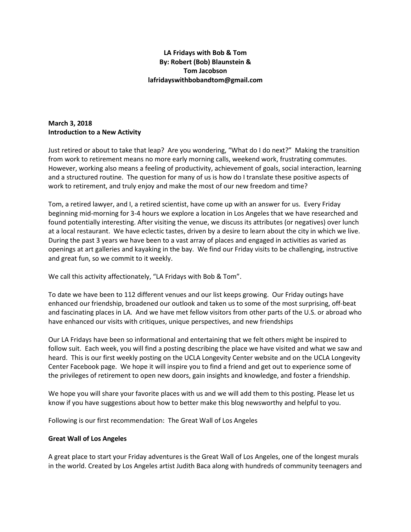### **LA Fridays with Bob & Tom By: Robert (Bob) Blaunstein & Tom Jacobson lafridayswithbobandtom@gmail.com**

# **March 3, 2018 Introduction to a New Activity**

Just retired or about to take that leap? Are you wondering, "What do I do next?" Making the transition from work to retirement means no more early morning calls, weekend work, frustrating commutes. However, working also means a feeling of productivity, achievement of goals, social interaction, learning and a structured routine. The question for many of us is how do I translate these positive aspects of work to retirement, and truly enjoy and make the most of our new freedom and time?

Tom, a retired lawyer, and I, a retired scientist, have come up with an answer for us. Every Friday beginning mid-morning for 3-4 hours we explore a location in Los Angeles that we have researched and found potentially interesting. After visiting the venue, we discuss its attributes (or negatives) over lunch at a local restaurant. We have eclectic tastes, driven by a desire to learn about the city in which we live. During the past 3 years we have been to a vast array of places and engaged in activities as varied as openings at art galleries and kayaking in the bay. We find our Friday visits to be challenging, instructive and great fun, so we commit to it weekly.

We call this activity affectionately, "LA Fridays with Bob & Tom".

To date we have been to 112 different venues and our list keeps growing. Our Friday outings have enhanced our friendship, broadened our outlook and taken us to some of the most surprising, off-beat and fascinating places in LA. And we have met fellow visitors from other parts of the U.S. or abroad who have enhanced our visits with critiques, unique perspectives, and new friendships

Our LA Fridays have been so informational and entertaining that we felt others might be inspired to follow suit. Each week, you will find a posting describing the place we have visited and what we saw and heard. This is our first weekly posting on the UCLA Longevity Center website and on the UCLA Longevity Center Facebook page. We hope it will inspire you to find a friend and get out to experience some of the privileges of retirement to open new doors, gain insights and knowledge, and foster a friendship.

We hope you will share your favorite places with us and we will add them to this posting. Please let us know if you have suggestions about how to better make this blog newsworthy and helpful to you.

Following is our first recommendation: The Great Wall of Los Angeles

#### **Great Wall of Los Angeles**

A great place to start your Friday adventures is the Great Wall of Los Angeles, one of the longest murals in the world. Created by Los Angeles artist Judith Baca along with hundreds of community teenagers and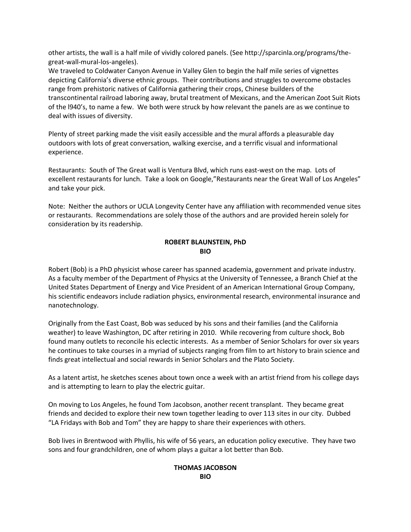other artists, the wall is a half mile of vividly colored panels. (See http://sparcinla.org/programs/thegreat-wall-mural-los-angeles).

We traveled to Coldwater Canyon Avenue in Valley Glen to begin the half mile series of vignettes depicting California's diverse ethnic groups. Their contributions and struggles to overcome obstacles range from prehistoric natives of California gathering their crops, Chinese builders of the transcontinental railroad laboring away, brutal treatment of Mexicans, and the American Zoot Suit Riots of the l940's, to name a few. We both were struck by how relevant the panels are as we continue to deal with issues of diversity.

Plenty of street parking made the visit easily accessible and the mural affords a pleasurable day outdoors with lots of great conversation, walking exercise, and a terrific visual and informational experience.

Restaurants: South of The Great wall is Ventura Blvd, which runs east-west on the map. Lots of excellent restaurants for lunch. Take a look on Google,"Restaurants near the Great Wall of Los Angeles" and take your pick.

Note: Neither the authors or UCLA Longevity Center have any affiliation with recommended venue sites or restaurants. Recommendations are solely those of the authors and are provided herein solely for consideration by its readership.

### **ROBERT BLAUNSTEIN, PhD BIO**

Robert (Bob) is a PhD physicist whose career has spanned academia, government and private industry. As a faculty member of the Department of Physics at the University of Tennessee, a Branch Chief at the United States Department of Energy and Vice President of an American International Group Company, his scientific endeavors include radiation physics, environmental research, environmental insurance and nanotechnology.

Originally from the East Coast, Bob was seduced by his sons and their families (and the California weather) to leave Washington, DC after retiring in 2010. While recovering from culture shock, Bob found many outlets to reconcile his eclectic interests. As a member of Senior Scholars for over six years he continues to take courses in a myriad of subjects ranging from film to art history to brain science and finds great intellectual and social rewards in Senior Scholars and the Plato Society.

As a latent artist, he sketches scenes about town once a week with an artist friend from his college days and is attempting to learn to play the electric guitar.

On moving to Los Angeles, he found Tom Jacobson, another recent transplant. They became great friends and decided to explore their new town together leading to over 113 sites in our city. Dubbed "LA Fridays with Bob and Tom" they are happy to share their experiences with others.

Bob lives in Brentwood with Phyllis, his wife of 56 years, an education policy executive. They have two sons and four grandchildren, one of whom plays a guitar a lot better than Bob.

## **THOMAS JACOBSON BIO**